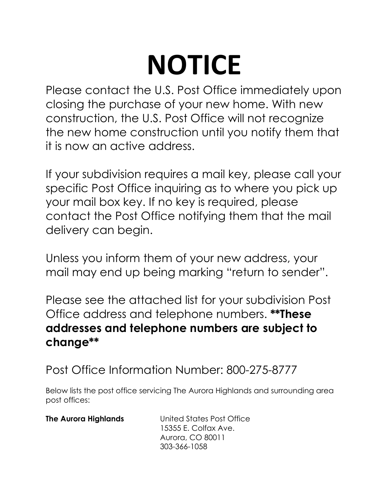## **NOTICE**

Please contact the U.S. Post Office immediately upon closing the purchase of your new home. With new construction, the U.S. Post Office will not recognize the new home construction until you notify them that it is now an active address.

If your subdivision requires a mail key, please call your specific Post Office inquiring as to where you pick up your mail box key. If no key is required, please contact the Post Office notifying them that the mail delivery can begin.

Unless you inform them of your new address, your mail may end up being marking "return to sender".

Please see the attached list for your subdivision Post Office address and telephone numbers. **\*\*These addresses and telephone numbers are subject to change\*\***

Post Office Information Number: 800-275-8777

Below lists the post office servicing The Aurora Highlands and surrounding area post offices:

| <b>The Aurora Highlands</b> | United States Post Office |
|-----------------------------|---------------------------|
|                             | 15355 E. Colfax Ave.      |
|                             | Aurora, CO 80011          |
|                             | 303-366-1058              |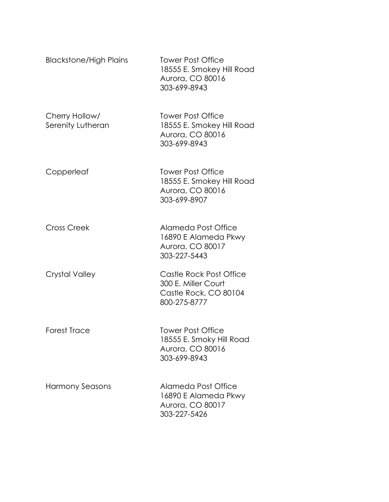| <b>Blackstone/High Plains</b>       | <b>Tower Post Office</b><br>18555 E. Smokey Hill Road<br>Aurora, CO 80016<br>303-699-8943 |
|-------------------------------------|-------------------------------------------------------------------------------------------|
| Cherry Hollow/<br>Serenity Lutheran | <b>Tower Post Office</b><br>18555 E. Smokey Hill Road<br>Aurora, CO 80016<br>303-699-8943 |
| Copperleaf                          | <b>Tower Post Office</b><br>18555 E. Smokey Hill Road<br>Aurora, CO 80016<br>303-699-8907 |
| <b>Cross Creek</b>                  | Alameda Post Office<br>16890 E Alameda Pkwy<br>Aurora, CO 80017<br>303-227-5443           |
| <b>Crystal Valley</b>               | Castle Rock Post Office<br>300 E. Miller Court<br>Castle Rock, CO 80104<br>800-275-8777   |
| <b>Forest Trace</b>                 | <b>Tower Post Office</b><br>18555 E. Smoky Hill Road<br>Aurora, CO 80016<br>303-699-8943  |
| <b>Harmony Seasons</b>              | Alameda Post Office<br>16890 E Alameda Pkwy<br>Aurora, CO 80017<br>303-227-5426           |